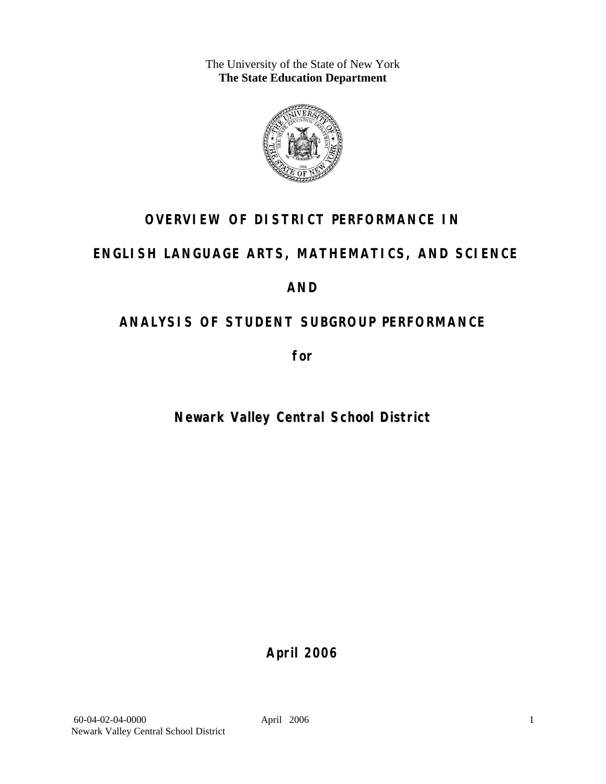The University of the State of New York **The State Education Department** 



## **OVERVIEW OF DISTRICT PERFORMANCE IN**

## **ENGLISH LANGUAGE ARTS, MATHEMATICS, AND SCIENCE**

## **AND**

## **ANALYSIS OF STUDENT SUBGROUP PERFORMANCE**

**for** 

## **Newark Valley Central School District**

**April 2006**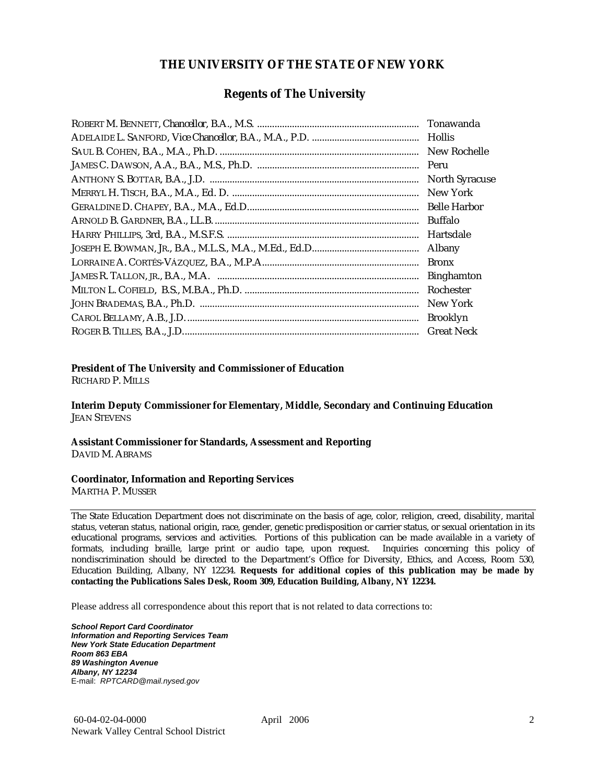#### **THE UNIVERSITY OF THE STATE OF NEW YORK**

#### **Regents of The University**

| Hollis                |
|-----------------------|
| New Rochelle          |
|                       |
| <b>North Syracuse</b> |
| New York              |
|                       |
| Buffalo               |
| Hartsdale             |
| Albany                |
| <b>Bronx</b>          |
| <b>Binghamton</b>     |
| Rochester             |
| New York              |
| <b>Brooklyn</b>       |
| <b>Great Neck</b>     |

#### **President of The University and Commissioner of Education**

RICHARD P. MILLS

**Interim Deputy Commissioner for Elementary, Middle, Secondary and Continuing Education**  JEAN STEVENS

#### **Assistant Commissioner for Standards, Assessment and Reporting**  DAVID M. ABRAMS

#### **Coordinator, Information and Reporting Services**

MARTHA P. MUSSER

The State Education Department does not discriminate on the basis of age, color, religion, creed, disability, marital status, veteran status, national origin, race, gender, genetic predisposition or carrier status, or sexual orientation in its educational programs, services and activities. Portions of this publication can be made available in a variety of formats, including braille, large print or audio tape, upon request. Inquiries concerning this policy of nondiscrimination should be directed to the Department's Office for Diversity, Ethics, and Access, Room 530, Education Building, Albany, NY 12234. **Requests for additional copies of this publication may be made by contacting the Publications Sales Desk, Room 309, Education Building, Albany, NY 12234.** 

Please address all correspondence about this report that is not related to data corrections to:

*School Report Card Coordinator Information and Reporting Services Team New York State Education Department Room 863 EBA 89 Washington Avenue Albany, NY 12234*  E-mail: *RPTCARD@mail.nysed.gov*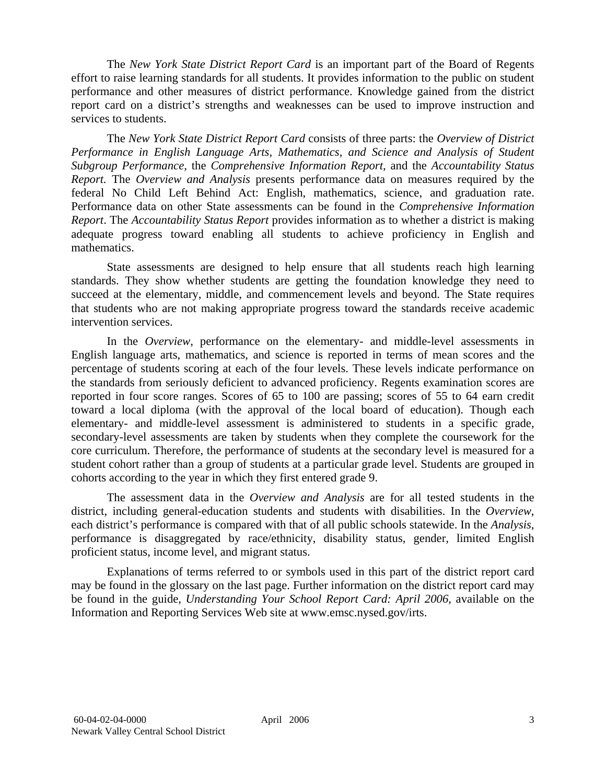The *New York State District Report Card* is an important part of the Board of Regents effort to raise learning standards for all students. It provides information to the public on student performance and other measures of district performance. Knowledge gained from the district report card on a district's strengths and weaknesses can be used to improve instruction and services to students.

The *New York State District Report Card* consists of three parts: the *Overview of District Performance in English Language Arts, Mathematics, and Science and Analysis of Student Subgroup Performance,* the *Comprehensive Information Report,* and the *Accountability Status Report.* The *Overview and Analysis* presents performance data on measures required by the federal No Child Left Behind Act: English, mathematics, science, and graduation rate. Performance data on other State assessments can be found in the *Comprehensive Information Report*. The *Accountability Status Report* provides information as to whether a district is making adequate progress toward enabling all students to achieve proficiency in English and mathematics.

State assessments are designed to help ensure that all students reach high learning standards. They show whether students are getting the foundation knowledge they need to succeed at the elementary, middle, and commencement levels and beyond. The State requires that students who are not making appropriate progress toward the standards receive academic intervention services.

In the *Overview*, performance on the elementary- and middle-level assessments in English language arts, mathematics, and science is reported in terms of mean scores and the percentage of students scoring at each of the four levels. These levels indicate performance on the standards from seriously deficient to advanced proficiency. Regents examination scores are reported in four score ranges. Scores of 65 to 100 are passing; scores of 55 to 64 earn credit toward a local diploma (with the approval of the local board of education). Though each elementary- and middle-level assessment is administered to students in a specific grade, secondary-level assessments are taken by students when they complete the coursework for the core curriculum. Therefore, the performance of students at the secondary level is measured for a student cohort rather than a group of students at a particular grade level. Students are grouped in cohorts according to the year in which they first entered grade 9.

The assessment data in the *Overview and Analysis* are for all tested students in the district, including general-education students and students with disabilities. In the *Overview*, each district's performance is compared with that of all public schools statewide. In the *Analysis*, performance is disaggregated by race/ethnicity, disability status, gender, limited English proficient status, income level, and migrant status.

Explanations of terms referred to or symbols used in this part of the district report card may be found in the glossary on the last page. Further information on the district report card may be found in the guide, *Understanding Your School Report Card: April 2006*, available on the Information and Reporting Services Web site at www.emsc.nysed.gov/irts.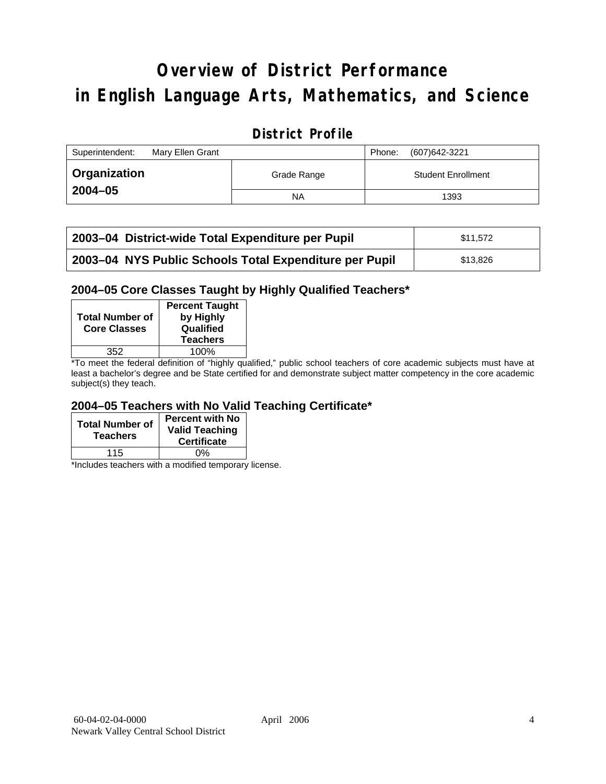# **Overview of District Performance in English Language Arts, Mathematics, and Science**

## **District Profile**

| Superintendent:     | Mary Ellen Grant |             | Phone: | (607) 642-3221            |
|---------------------|------------------|-------------|--------|---------------------------|
| <b>Organization</b> |                  | Grade Range |        | <b>Student Enrollment</b> |
| $2004 - 05$         |                  | ΝA          |        | 1393                      |

| 2003-04 District-wide Total Expenditure per Pupil      | \$11.572 |
|--------------------------------------------------------|----------|
| 2003-04 NYS Public Schools Total Expenditure per Pupil | \$13.826 |

#### **2004–05 Core Classes Taught by Highly Qualified Teachers\***

| <b>Total Number of</b><br><b>Core Classes</b> | <b>Percent Taught</b><br>by Highly<br>Qualified<br><b>Teachers</b> |
|-----------------------------------------------|--------------------------------------------------------------------|
| 352                                           | 100%                                                               |
| $\cdot$ $\cdot$ $\cdot$                       | $\cdots$                                                           |

\*To meet the federal definition of "highly qualified," public school teachers of core academic subjects must have at least a bachelor's degree and be State certified for and demonstrate subject matter competency in the core academic subject(s) they teach.

#### **2004–05 Teachers with No Valid Teaching Certificate\***

| <b>Total Number of</b><br><b>Teachers</b> | <b>Percent with No</b><br><b>Valid Teaching</b><br><b>Certificate</b> |
|-------------------------------------------|-----------------------------------------------------------------------|
| 115                                       | ሰ%                                                                    |

\*Includes teachers with a modified temporary license.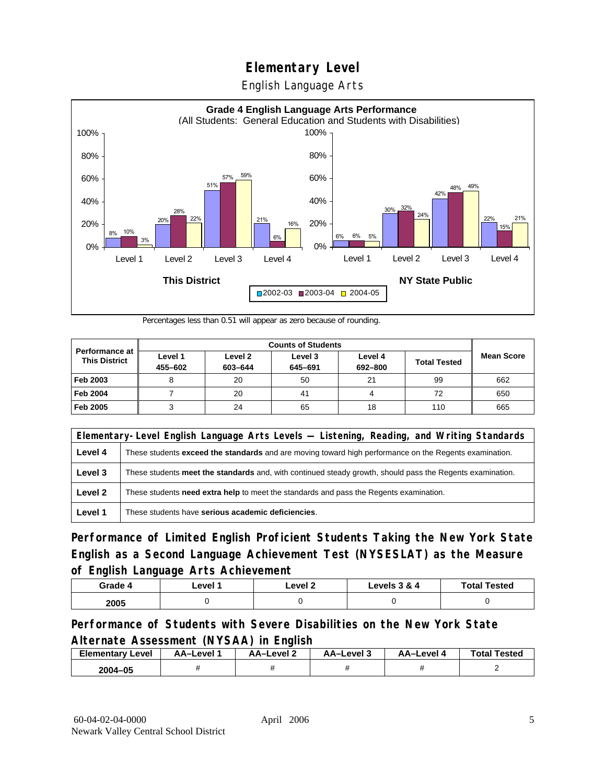English Language Arts



Percentages less than 0.51 will appear as zero because of rounding.

| <b>Counts of Students</b>                     |                    |                    |                    |                    |                     |                   |
|-----------------------------------------------|--------------------|--------------------|--------------------|--------------------|---------------------|-------------------|
| <b>Performance at</b><br><b>This District</b> | Level 1<br>455-602 | Level 2<br>603-644 | Level 3<br>645-691 | Level 4<br>692-800 | <b>Total Tested</b> | <b>Mean Score</b> |
| Feb 2003                                      |                    | 20                 | 50                 | 21                 | 99                  | 662               |
| <b>Feb 2004</b>                               |                    | 20                 | 41                 |                    | 72                  | 650               |
| Feb 2005                                      |                    | 24                 | 65                 | 18                 | 110                 | 665               |

|         | Elementary-Level English Language Arts Levels — Listening, Reading, and Writing Standards                     |  |  |  |  |
|---------|---------------------------------------------------------------------------------------------------------------|--|--|--|--|
| Level 4 | These students <b>exceed the standards</b> and are moving toward high performance on the Regents examination. |  |  |  |  |
| Level 3 | These students meet the standards and, with continued steady growth, should pass the Regents examination.     |  |  |  |  |
| Level 2 | These students need extra help to meet the standards and pass the Regents examination.                        |  |  |  |  |
| Level 1 | These students have serious academic deficiencies.                                                            |  |  |  |  |

**Performance of Limited English Proficient Students Taking the New York State English as a Second Language Achievement Test (NYSESLAT) as the Measure of English Language Arts Achievement**

| Grade 4 | _evel <i>*</i> | Level 2 | Levels 3 & 4 | <b>Total Tested</b> |
|---------|----------------|---------|--------------|---------------------|
| 2005    |                |         |              |                     |

### **Performance of Students with Severe Disabilities on the New York State Alternate Assessment (NYSAA) in English**

| <b>Elementary</b><br>Level | AA-Level | <b>AA-Level 2</b> | AA-Level 3 | AA-Level | <b>Total Tested</b> |
|----------------------------|----------|-------------------|------------|----------|---------------------|
| 2004-05                    |          |                   |            |          |                     |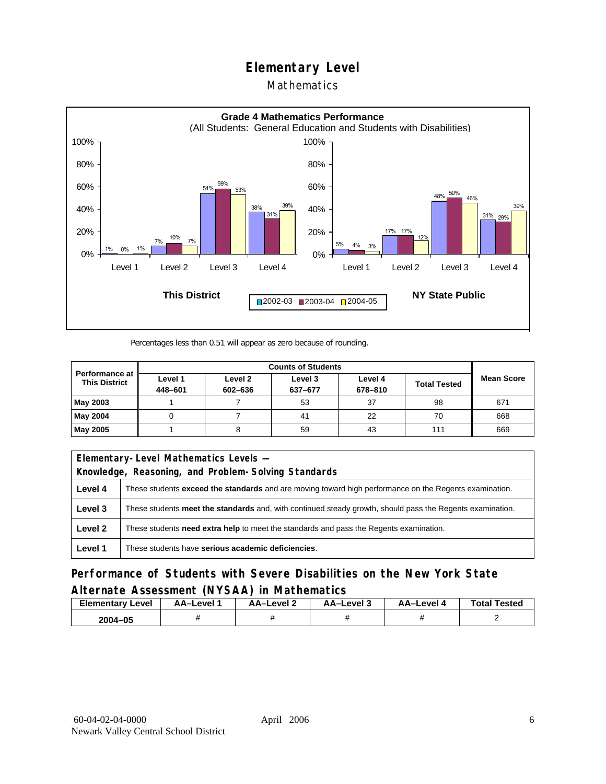#### Mathematics



Percentages less than 0.51 will appear as zero because of rounding.

|                                        | <b>Counts of Students</b> |                    |                    |                    |                     |                   |  |
|----------------------------------------|---------------------------|--------------------|--------------------|--------------------|---------------------|-------------------|--|
| Performance at<br><b>This District</b> | Level 1<br>448-601        | Level 2<br>602-636 | Level 3<br>637-677 | Level 4<br>678-810 | <b>Total Tested</b> | <b>Mean Score</b> |  |
| May 2003                               |                           |                    | 53                 | 37                 | 98                  | 671               |  |
| May 2004                               |                           |                    | 41                 | 22                 | 70                  | 668               |  |
| May 2005                               |                           |                    | 59                 | 43                 | 111                 | 669               |  |

| Elementary-Level Mathematics Levels - |                                                                                                               |  |  |  |  |
|---------------------------------------|---------------------------------------------------------------------------------------------------------------|--|--|--|--|
|                                       | Knowledge, Reasoning, and Problem-Solving Standards                                                           |  |  |  |  |
| Level 4                               | These students <b>exceed the standards</b> and are moving toward high performance on the Regents examination. |  |  |  |  |
| Level 3                               | These students meet the standards and, with continued steady growth, should pass the Regents examination.     |  |  |  |  |
| Level 2                               | These students <b>need extra help</b> to meet the standards and pass the Regents examination.                 |  |  |  |  |
| Level 1                               | These students have serious academic deficiencies.                                                            |  |  |  |  |

**Performance of Students with Severe Disabilities on the New York State Alternate Assessment (NYSAA) in Mathematics** 

| Level<br>Elementary | AA-Level | – AA–Level ∠ | د AA–Level | AA-Level | <b>Total Tested</b> |
|---------------------|----------|--------------|------------|----------|---------------------|
| 2004-05             |          |              |            |          |                     |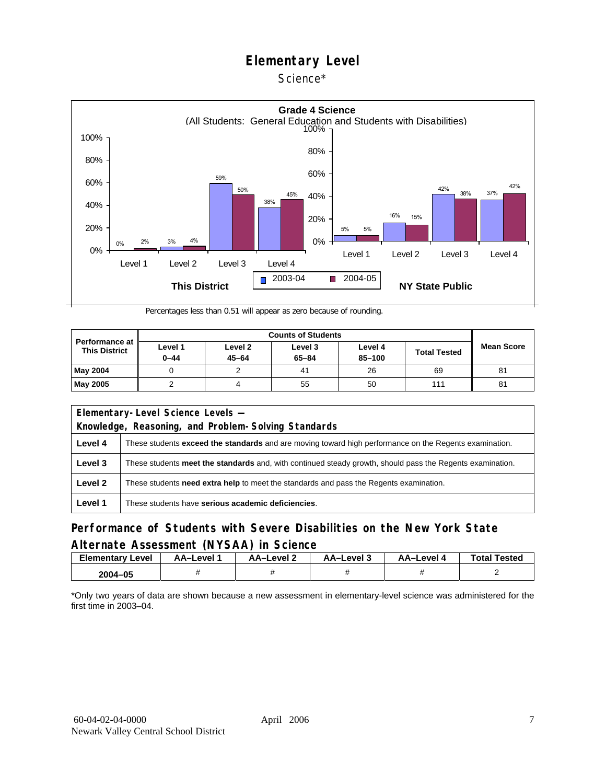#### Science\*



Percentages less than 0.51 will appear as zero because of rounding.

| <b>Performance at</b><br><b>This District</b> | Level 1<br>$0 - 44$ | Level 2<br>$45 - 64$ | Level 3<br>$65 - 84$ | Level 4<br>85-100 | <b>Total Tested</b> | <b>Mean Score</b> |
|-----------------------------------------------|---------------------|----------------------|----------------------|-------------------|---------------------|-------------------|
| May 2004                                      |                     |                      | 41                   | 26                | 69                  | 81                |
| <b>May 2005</b>                               |                     |                      | 55                   | 50                | 111                 | 81                |

| Elementary-Level Science Levels -                   |                                                                                                               |  |  |  |  |
|-----------------------------------------------------|---------------------------------------------------------------------------------------------------------------|--|--|--|--|
| Knowledge, Reasoning, and Problem-Solving Standards |                                                                                                               |  |  |  |  |
| Level 4                                             | These students <b>exceed the standards</b> and are moving toward high performance on the Regents examination. |  |  |  |  |
| Level 3                                             | These students meet the standards and, with continued steady growth, should pass the Regents examination.     |  |  |  |  |
| Level 2                                             | These students <b>need extra help</b> to meet the standards and pass the Regents examination.                 |  |  |  |  |
| Level 1                                             | These students have serious academic deficiencies.                                                            |  |  |  |  |

### **Performance of Students with Severe Disabilities on the New York State Alternate Assessment (NYSAA) in Science**

| Elementary<br>Level | AA-Level " | AA-Level 2 | AA-Level 3 | AA-Level 4 | <b>Total Tested</b> |
|---------------------|------------|------------|------------|------------|---------------------|
| 2004-05             |            |            |            |            |                     |

\*Only two years of data are shown because a new assessment in elementary-level science was administered for the first time in 2003–04.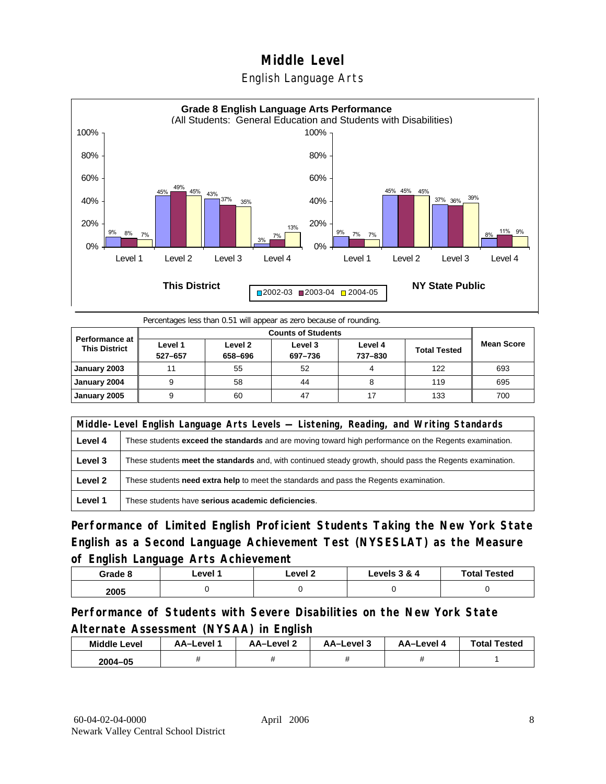## **Middle Level**  English Language Arts



Percentages less than 0.51 will appear as zero because of rounding.

|                                               |                    | <b>Counts of Students</b> |                    |                    |                     |                   |  |  |  |
|-----------------------------------------------|--------------------|---------------------------|--------------------|--------------------|---------------------|-------------------|--|--|--|
| <b>Performance at</b><br><b>This District</b> | Level 1<br>527-657 | Level 2<br>658-696        | Level 3<br>697-736 | Level 4<br>737-830 | <b>Total Tested</b> | <b>Mean Score</b> |  |  |  |
| January 2003                                  | 11                 | 55                        | 52                 |                    | 122                 | 693               |  |  |  |
| January 2004                                  |                    | 58                        | 44                 |                    | 119                 | 695               |  |  |  |
| January 2005                                  |                    | 60                        | 47                 | 17                 | 133                 | 700               |  |  |  |

|         | Middle-Level English Language Arts Levels — Listening, Reading, and Writing Standards                     |  |  |  |  |
|---------|-----------------------------------------------------------------------------------------------------------|--|--|--|--|
| Level 4 | These students exceed the standards and are moving toward high performance on the Regents examination.    |  |  |  |  |
| Level 3 | These students meet the standards and, with continued steady growth, should pass the Regents examination. |  |  |  |  |
| Level 2 | These students need extra help to meet the standards and pass the Regents examination.                    |  |  |  |  |
| Level 1 | These students have serious academic deficiencies.                                                        |  |  |  |  |

**Performance of Limited English Proficient Students Taking the New York State English as a Second Language Achievement Test (NYSESLAT) as the Measure of English Language Arts Achievement**

| Grade 8 | ∟evel 1 | ∟evel 2 | Levels 3 & 4 | <b>Total Tested</b> |
|---------|---------|---------|--------------|---------------------|
| 2005    |         |         |              |                     |

**Performance of Students with Severe Disabilities on the New York State Alternate Assessment (NYSAA) in English** 

| <b>Middle Level</b> | AA–Level | <b>AA-Level 2</b> | AA-Level 3 | AA-Level 4 | <b>Total Tested</b> |
|---------------------|----------|-------------------|------------|------------|---------------------|
| 2004-05             |          |                   |            |            |                     |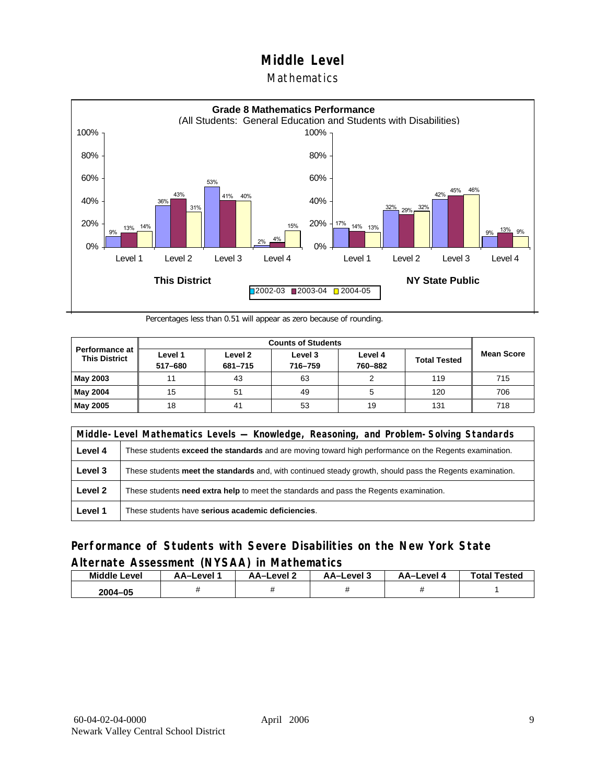#### **Mathematics**



Percentages less than 0.51 will appear as zero because of rounding.

|                                          |                    | <b>Counts of Students</b> |                    |                    |                     |                   |  |  |  |
|------------------------------------------|--------------------|---------------------------|--------------------|--------------------|---------------------|-------------------|--|--|--|
| Performance at I<br><b>This District</b> | Level 1<br>517-680 | Level 2<br>681-715        | Level 3<br>716-759 | Level 4<br>760-882 | <b>Total Tested</b> | <b>Mean Score</b> |  |  |  |
| May 2003                                 | 11                 | 43                        | 63                 |                    | 119                 | 715               |  |  |  |
| May 2004                                 | 15                 | 51                        | 49                 | 5                  | 120                 | 706               |  |  |  |
| May 2005                                 | 18                 | 41                        | 53                 | 19                 | 131                 | 718               |  |  |  |

|         | Middle-Level Mathematics Levels — Knowledge, Reasoning, and Problem-Solving Standards                         |  |  |  |  |
|---------|---------------------------------------------------------------------------------------------------------------|--|--|--|--|
| Level 4 | These students <b>exceed the standards</b> and are moving toward high performance on the Regents examination. |  |  |  |  |
| Level 3 | These students meet the standards and, with continued steady growth, should pass the Regents examination.     |  |  |  |  |
| Level 2 | These students need extra help to meet the standards and pass the Regents examination.                        |  |  |  |  |
| Level 1 | These students have serious academic deficiencies.                                                            |  |  |  |  |

### **Performance of Students with Severe Disabilities on the New York State Alternate Assessment (NYSAA) in Mathematics**

| <b>Middle Level</b> | AA-Level | AA-Level 2 | AA-Level 3 | AA–Level 4 | <b>Total Tested</b> |
|---------------------|----------|------------|------------|------------|---------------------|
| 2004-05             |          |            |            |            |                     |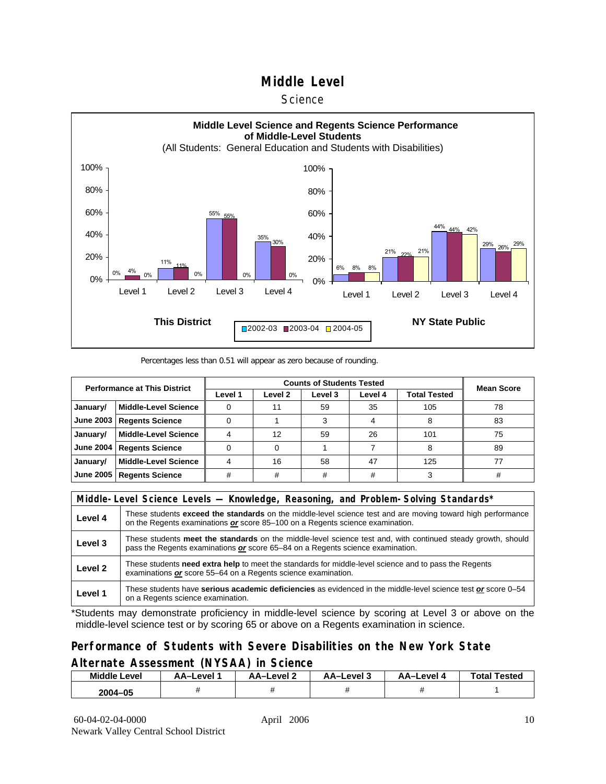#### **Science**



Percentages less than 0.51 will appear as zero because of rounding.

| <b>Performance at This District</b> |                             |         | <b>Mean Score</b>  |         |         |              |    |
|-------------------------------------|-----------------------------|---------|--------------------|---------|---------|--------------|----|
|                                     |                             | Level 1 | Level <sub>2</sub> | Level 3 | Level 4 | Total Tested |    |
| January/                            | <b>Middle-Level Science</b> |         |                    | 59      | 35      | 105          | 78 |
| <b>June 2003</b>                    | <b>Regents Science</b>      |         |                    |         |         |              | 83 |
| January/                            | <b>Middle-Level Science</b> |         | 12                 | 59      | 26      | 101          | 75 |
| <b>June 2004</b>                    | <b>Regents Science</b>      |         |                    |         |         | 8            | 89 |
| January/                            | <b>Middle-Level Science</b> |         | 16                 | 58      | 47      | 125          | 77 |
| <b>June 2005</b>                    | <b>Regents Science</b>      | #       | #                  | #       | #       |              |    |

|         | Middle-Level Science Levels — Knowledge, Reasoning, and Problem-Solving Standards*                                                                                                                  |  |  |  |  |
|---------|-----------------------------------------------------------------------------------------------------------------------------------------------------------------------------------------------------|--|--|--|--|
| Level 4 | These students <b>exceed the standards</b> on the middle-level science test and are moving toward high performance<br>on the Regents examinations or score 85-100 on a Regents science examination. |  |  |  |  |
| Level 3 | These students meet the standards on the middle-level science test and, with continued steady growth, should<br>pass the Regents examinations or score 65–84 on a Regents science examination.      |  |  |  |  |
| Level 2 | These students need extra help to meet the standards for middle-level science and to pass the Regents<br>examinations or score 55-64 on a Regents science examination.                              |  |  |  |  |
| Level 1 | These students have serious academic deficiencies as evidenced in the middle-level science test or score 0-54<br>on a Regents science examination.                                                  |  |  |  |  |

\*Students may demonstrate proficiency in middle-level science by scoring at Level 3 or above on the middle-level science test or by scoring 65 or above on a Regents examination in science.

#### **Performance of Students with Severe Disabilities on the New York State Alternate Assessment (NYSAA) in Science**

| Middle L<br>_evel | AA-Level ' | AA-Level | AA-Level 3 | AA-Level | <b>Total Tested</b> |
|-------------------|------------|----------|------------|----------|---------------------|
| 2004-05           |            |          |            |          |                     |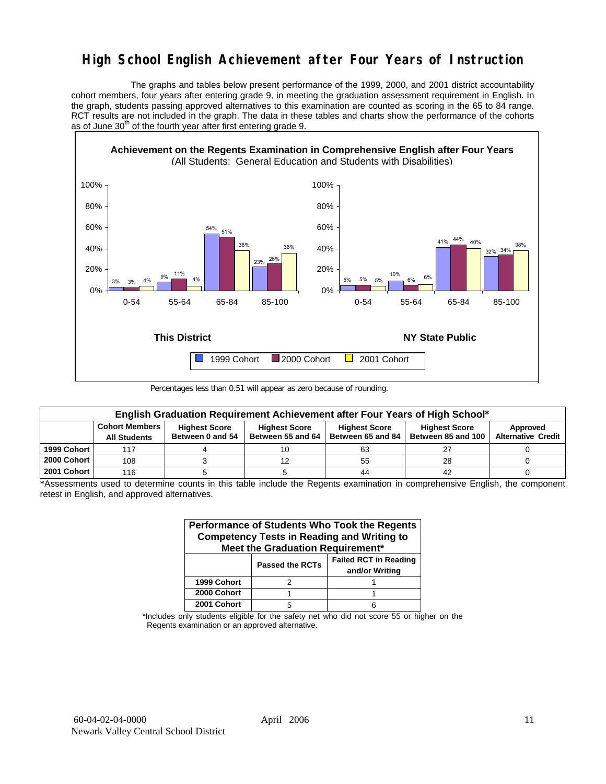## **High School English Achievement after Four Years of Instruction**

 The graphs and tables below present performance of the 1999, 2000, and 2001 district accountability cohort members, four years after entering grade 9, in meeting the graduation assessment requirement in English. In the graph, students passing approved alternatives to this examination are counted as scoring in the 65 to 84 range. RCT results are not included in the graph. The data in these tables and charts show the performance of the cohorts as of June  $30<sup>th</sup>$  of the fourth year after first entering grade 9.



Percentages less than 0.51 will appear as zero because of rounding.

|             | English Graduation Requirement Achievement after Four Years of High School* |                                          |                                           |                                           |                                            |                                       |  |  |  |  |  |  |
|-------------|-----------------------------------------------------------------------------|------------------------------------------|-------------------------------------------|-------------------------------------------|--------------------------------------------|---------------------------------------|--|--|--|--|--|--|
|             | <b>Cohort Members</b><br><b>All Students</b>                                | <b>Highest Score</b><br>Between 0 and 54 | <b>Highest Score</b><br>Between 55 and 64 | <b>Highest Score</b><br>Between 65 and 84 | <b>Highest Score</b><br>Between 85 and 100 | Approved<br><b>Alternative Credit</b> |  |  |  |  |  |  |
| 1999 Cohort | 117                                                                         |                                          |                                           | 63                                        |                                            |                                       |  |  |  |  |  |  |
| 2000 Cohort | 108                                                                         |                                          |                                           | 55                                        | 28                                         |                                       |  |  |  |  |  |  |
| 2001 Cohort | 116                                                                         |                                          |                                           | 44                                        | 42                                         |                                       |  |  |  |  |  |  |

\*Assessments used to determine counts in this table include the Regents examination in comprehensive English, the component retest in English, and approved alternatives.

| Performance of Students Who Took the Regents<br><b>Competency Tests in Reading and Writing to</b><br>Meet the Graduation Requirement* |                        |                                                |  |  |  |  |  |  |  |
|---------------------------------------------------------------------------------------------------------------------------------------|------------------------|------------------------------------------------|--|--|--|--|--|--|--|
|                                                                                                                                       | <b>Passed the RCTs</b> | <b>Failed RCT in Reading</b><br>and/or Writing |  |  |  |  |  |  |  |
| 1999 Cohort                                                                                                                           |                        |                                                |  |  |  |  |  |  |  |
| 2000 Cohort                                                                                                                           |                        |                                                |  |  |  |  |  |  |  |
| 2001 Cohort                                                                                                                           |                        |                                                |  |  |  |  |  |  |  |

\*Includes only students eligible for the safety net who did not score 55 or higher on the Regents examination or an approved alternative.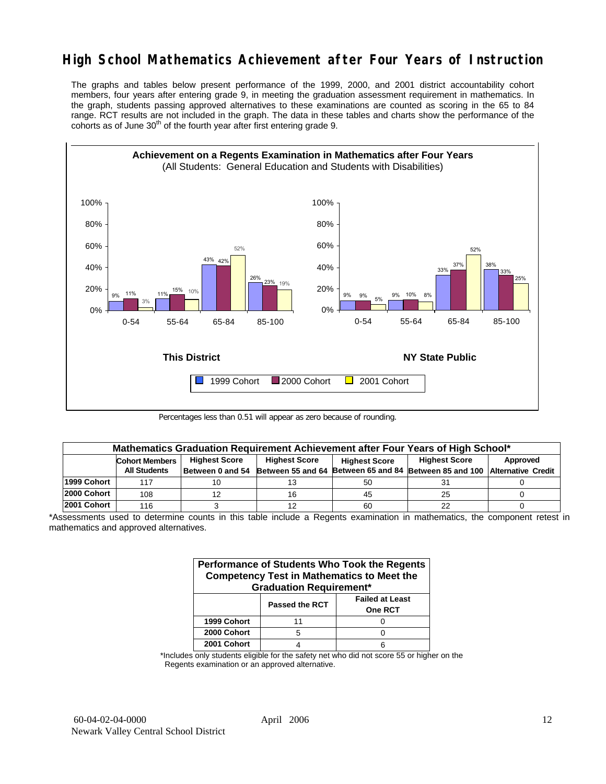## **High School Mathematics Achievement after Four Years of Instruction**

The graphs and tables below present performance of the 1999, 2000, and 2001 district accountability cohort members, four years after entering grade 9, in meeting the graduation assessment requirement in mathematics. In the graph, students passing approved alternatives to these examinations are counted as scoring in the 65 to 84 range. RCT results are not included in the graph. The data in these tables and charts show the performance of the cohorts as of June  $30<sup>th</sup>$  of the fourth year after first entering grade 9.



Percentages less than 0.51 will appear as zero because of rounding.

|             | Mathematics Graduation Requirement Achievement after Four Years of High School* |  |                      |                      |                                                                                            |          |  |  |  |  |  |
|-------------|---------------------------------------------------------------------------------|--|----------------------|----------------------|--------------------------------------------------------------------------------------------|----------|--|--|--|--|--|
|             | <b>Highest Score</b><br><b>Cohort Members</b>                                   |  | <b>Highest Score</b> | <b>Highest Score</b> |                                                                                            | Approved |  |  |  |  |  |
|             | <b>All Students</b>                                                             |  |                      |                      | Between 0 and 54 Between 55 and 64 Between 65 and 84 Between 85 and 100 Alternative Credit |          |  |  |  |  |  |
| 1999 Cohort | 117                                                                             |  |                      | 50                   |                                                                                            |          |  |  |  |  |  |
| 2000 Cohort | 108                                                                             |  | 16                   | 45                   | 25                                                                                         |          |  |  |  |  |  |
| 2001 Cohort | 116                                                                             |  |                      | 60                   |                                                                                            |          |  |  |  |  |  |

\*Assessments used to determine counts in this table include a Regents examination in mathematics, the component retest in mathematics and approved alternatives.

| Performance of Students Who Took the Regents<br><b>Competency Test in Mathematics to Meet the</b><br><b>Graduation Requirement*</b> |                |                                          |  |  |  |  |  |  |
|-------------------------------------------------------------------------------------------------------------------------------------|----------------|------------------------------------------|--|--|--|--|--|--|
|                                                                                                                                     | Passed the RCT | <b>Failed at Least</b><br><b>One RCT</b> |  |  |  |  |  |  |
| 1999 Cohort                                                                                                                         | 11             |                                          |  |  |  |  |  |  |
| 2000 Cohort                                                                                                                         | 5              |                                          |  |  |  |  |  |  |
| 2001 Cohort                                                                                                                         |                |                                          |  |  |  |  |  |  |

\*Includes only students eligible for the safety net who did not score 55 or higher on the Regents examination or an approved alternative.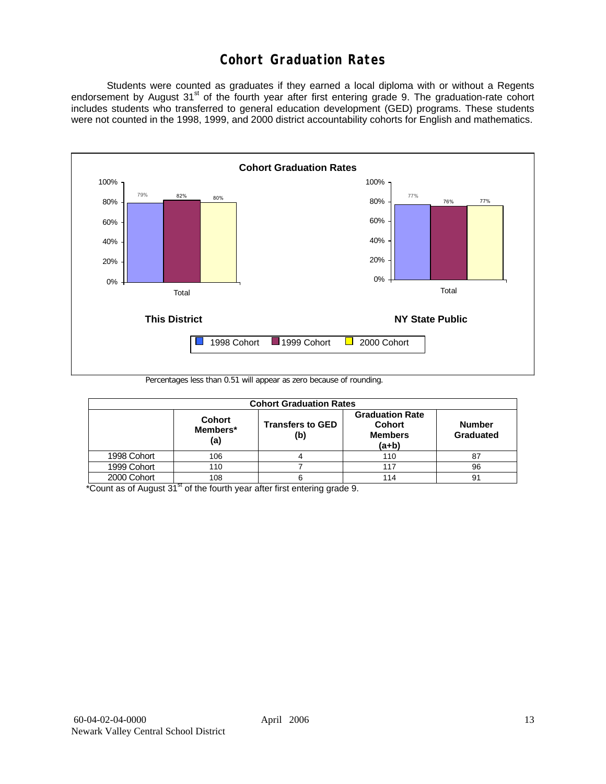## **Cohort Graduation Rates**

 Students were counted as graduates if they earned a local diploma with or without a Regents endorsement by August 31<sup>st</sup> of the fourth year after first entering grade 9. The graduation-rate cohort includes students who transferred to general education development (GED) programs. These students were not counted in the 1998, 1999, and 2000 district accountability cohorts for English and mathematics.



Percentages less than 0.51 will appear as zero because of rounding.

| <b>Cohort Graduation Rates</b> |                                  |                                |                                                                      |                            |  |  |  |  |  |  |
|--------------------------------|----------------------------------|--------------------------------|----------------------------------------------------------------------|----------------------------|--|--|--|--|--|--|
|                                | <b>Cohort</b><br>Members*<br>(a) | <b>Transfers to GED</b><br>(b) | <b>Graduation Rate</b><br><b>Cohort</b><br><b>Members</b><br>$(a+b)$ | <b>Number</b><br>Graduated |  |  |  |  |  |  |
| 1998 Cohort                    | 106                              |                                | 110                                                                  | 87                         |  |  |  |  |  |  |
| 1999 Cohort                    | 110                              |                                | 117                                                                  | 96                         |  |  |  |  |  |  |
| 2000 Cohort                    | 108                              |                                | 114                                                                  | 91                         |  |  |  |  |  |  |

 $*$ Count as of August  $31<sup>st</sup>$  of the fourth year after first entering grade 9.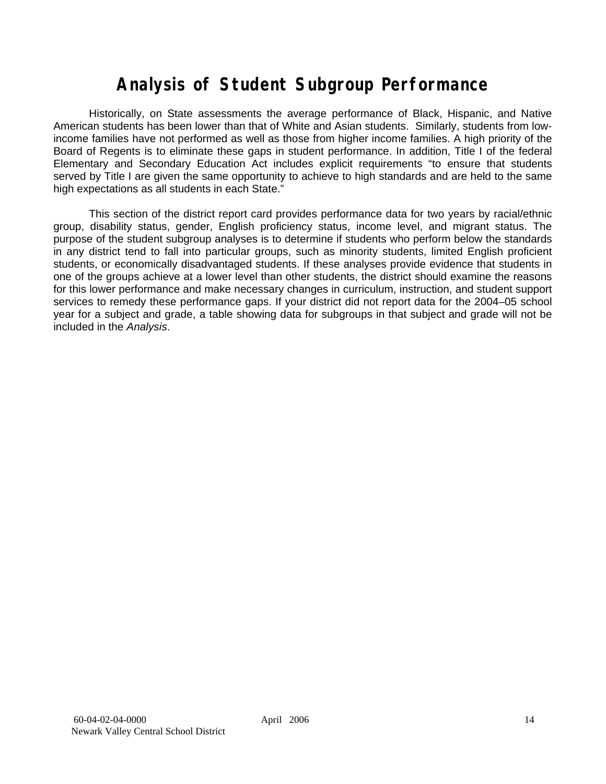# **Analysis of Student Subgroup Performance**

Historically, on State assessments the average performance of Black, Hispanic, and Native American students has been lower than that of White and Asian students. Similarly, students from lowincome families have not performed as well as those from higher income families. A high priority of the Board of Regents is to eliminate these gaps in student performance. In addition, Title I of the federal Elementary and Secondary Education Act includes explicit requirements "to ensure that students served by Title I are given the same opportunity to achieve to high standards and are held to the same high expectations as all students in each State."

This section of the district report card provides performance data for two years by racial/ethnic group, disability status, gender, English proficiency status, income level, and migrant status. The purpose of the student subgroup analyses is to determine if students who perform below the standards in any district tend to fall into particular groups, such as minority students, limited English proficient students, or economically disadvantaged students. If these analyses provide evidence that students in one of the groups achieve at a lower level than other students, the district should examine the reasons for this lower performance and make necessary changes in curriculum, instruction, and student support services to remedy these performance gaps. If your district did not report data for the 2004–05 school year for a subject and grade, a table showing data for subgroups in that subject and grade will not be included in the *Analysis*.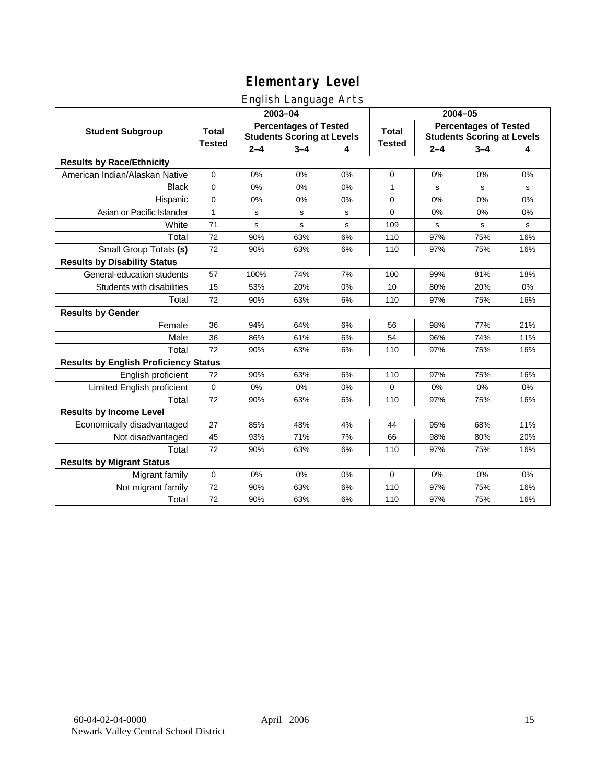## English Language Arts

|                                              |               |         | ັ<br>2003-04                                                      |    | 2004-05       |             |                                                                   |       |
|----------------------------------------------|---------------|---------|-------------------------------------------------------------------|----|---------------|-------------|-------------------------------------------------------------------|-------|
| <b>Student Subgroup</b>                      | <b>Total</b>  |         | <b>Percentages of Tested</b><br><b>Students Scoring at Levels</b> |    | <b>Total</b>  |             | <b>Percentages of Tested</b><br><b>Students Scoring at Levels</b> |       |
|                                              | <b>Tested</b> | $2 - 4$ | $3 - 4$                                                           | 4  | <b>Tested</b> | $2 - 4$     | $3 - 4$                                                           | 4     |
| <b>Results by Race/Ethnicity</b>             |               |         |                                                                   |    |               |             |                                                                   |       |
| American Indian/Alaskan Native               | 0             | 0%      | 0%                                                                | 0% | 0             | 0%          | 0%                                                                | 0%    |
| <b>Black</b>                                 | 0             | 0%      | 0%                                                                | 0% | 1             | s           | s                                                                 | s     |
| Hispanic                                     | 0             | 0%      | 0%                                                                | 0% | 0             | 0%          | 0%                                                                | 0%    |
| Asian or Pacific Islander                    | $\mathbf{1}$  | s       | s                                                                 | s  | 0             | 0%          | 0%                                                                | 0%    |
| White                                        | 71            | s       | s                                                                 | s  | 109           | $\mathbf s$ | $\mathbf s$                                                       | s     |
| Total                                        | 72            | 90%     | 63%                                                               | 6% | 110           | 97%         | 75%                                                               | 16%   |
| Small Group Totals (s)                       | 72            | 90%     | 63%                                                               | 6% | 110           | 97%         | 75%                                                               | 16%   |
| <b>Results by Disability Status</b>          |               |         |                                                                   |    |               |             |                                                                   |       |
| General-education students                   | 57            | 100%    | 74%                                                               | 7% | 100           | 99%         | 81%                                                               | 18%   |
| Students with disabilities                   | 15            | 53%     | 20%                                                               | 0% | 10            | 80%         | 20%                                                               | $0\%$ |
| Total                                        | 72            | 90%     | 63%                                                               | 6% | 110           | 97%         | 75%                                                               | 16%   |
| <b>Results by Gender</b>                     |               |         |                                                                   |    |               |             |                                                                   |       |
| Female                                       | 36            | 94%     | 64%                                                               | 6% | 56            | 98%         | 77%                                                               | 21%   |
| Male                                         | 36            | 86%     | 61%                                                               | 6% | 54            | 96%         | 74%                                                               | 11%   |
| Total                                        | 72            | 90%     | 63%                                                               | 6% | 110           | 97%         | 75%                                                               | 16%   |
| <b>Results by English Proficiency Status</b> |               |         |                                                                   |    |               |             |                                                                   |       |
| English proficient                           | 72            | 90%     | 63%                                                               | 6% | 110           | 97%         | 75%                                                               | 16%   |
| Limited English proficient                   | 0             | 0%      | 0%                                                                | 0% | 0             | 0%          | 0%                                                                | 0%    |
| Total                                        | 72            | 90%     | 63%                                                               | 6% | 110           | 97%         | 75%                                                               | 16%   |
| <b>Results by Income Level</b>               |               |         |                                                                   |    |               |             |                                                                   |       |
| Economically disadvantaged                   | 27            | 85%     | 48%                                                               | 4% | 44            | 95%         | 68%                                                               | 11%   |
| Not disadvantaged                            | 45            | 93%     | 71%                                                               | 7% | 66            | 98%         | 80%                                                               | 20%   |
| Total                                        | 72            | 90%     | 63%                                                               | 6% | 110           | 97%         | 75%                                                               | 16%   |
| <b>Results by Migrant Status</b>             |               |         |                                                                   |    |               |             |                                                                   |       |
| Migrant family                               | $\mathbf 0$   | 0%      | 0%                                                                | 0% | 0             | 0%          | 0%                                                                | 0%    |
| Not migrant family                           | 72            | 90%     | 63%                                                               | 6% | 110           | 97%         | 75%                                                               | 16%   |
| Total                                        | 72            | 90%     | 63%                                                               | 6% | 110           | 97%         | 75%                                                               | 16%   |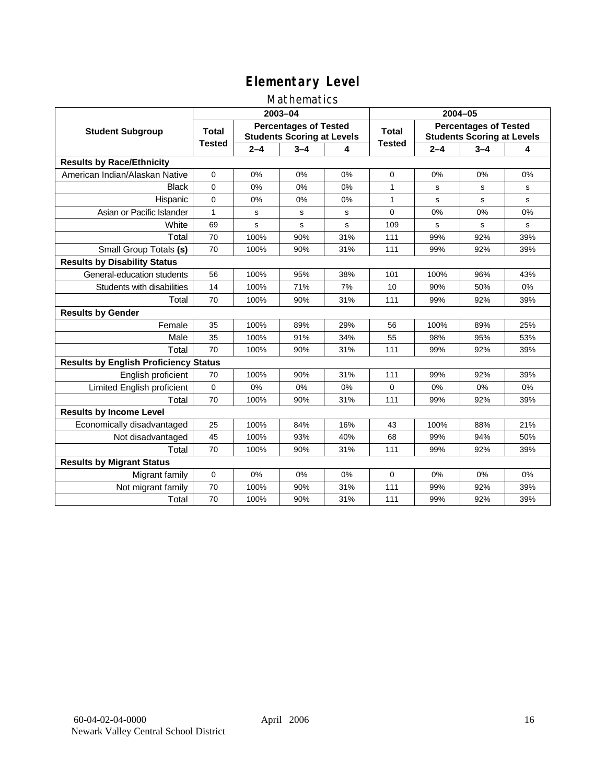### Mathematics

|                                              |               |         | 2003-04                                                           |     | 2004-05       |         |                                                                   |           |
|----------------------------------------------|---------------|---------|-------------------------------------------------------------------|-----|---------------|---------|-------------------------------------------------------------------|-----------|
| <b>Student Subgroup</b>                      | <b>Total</b>  |         | <b>Percentages of Tested</b><br><b>Students Scoring at Levels</b> |     | Total         |         | <b>Percentages of Tested</b><br><b>Students Scoring at Levels</b> |           |
|                                              | <b>Tested</b> | $2 - 4$ | $3 - 4$                                                           | 4   | <b>Tested</b> | $2 - 4$ | $3 - 4$                                                           | 4         |
| <b>Results by Race/Ethnicity</b>             |               |         |                                                                   |     |               |         |                                                                   |           |
| American Indian/Alaskan Native               | $\mathbf 0$   | 0%      | 0%                                                                | 0%  | 0             | 0%      | 0%                                                                | 0%        |
| <b>Black</b>                                 | $\Omega$      | 0%      | 0%                                                                | 0%  | 1             | s       | s                                                                 | s         |
| Hispanic                                     | $\mathbf 0$   | 0%      | 0%                                                                | 0%  | $\mathbf{1}$  | s       | s                                                                 | ${\tt s}$ |
| Asian or Pacific Islander                    | 1             | s       | s                                                                 | s   | $\Omega$      | 0%      | 0%                                                                | 0%        |
| White                                        | 69            | s       | $\mathbf s$                                                       | s   | 109           | s       | s                                                                 | ${\tt s}$ |
| Total                                        | 70            | 100%    | 90%                                                               | 31% | 111           | 99%     | 92%                                                               | 39%       |
| Small Group Totals (s)                       | 70            | 100%    | 90%                                                               | 31% | 111           | 99%     | 92%                                                               | 39%       |
| <b>Results by Disability Status</b>          |               |         |                                                                   |     |               |         |                                                                   |           |
| General-education students                   | 56            | 100%    | 95%                                                               | 38% | 101           | 100%    | 96%                                                               | 43%       |
| Students with disabilities                   | 14            | 100%    | 71%                                                               | 7%  | 10            | 90%     | 50%                                                               | 0%        |
| Total                                        | 70            | 100%    | 90%                                                               | 31% | 111           | 99%     | 92%                                                               | 39%       |
| <b>Results by Gender</b>                     |               |         |                                                                   |     |               |         |                                                                   |           |
| Female                                       | 35            | 100%    | 89%                                                               | 29% | 56            | 100%    | 89%                                                               | 25%       |
| Male                                         | 35            | 100%    | 91%                                                               | 34% | 55            | 98%     | 95%                                                               | 53%       |
| Total                                        | 70            | 100%    | 90%                                                               | 31% | 111           | 99%     | 92%                                                               | 39%       |
| <b>Results by English Proficiency Status</b> |               |         |                                                                   |     |               |         |                                                                   |           |
| English proficient                           | 70            | 100%    | 90%                                                               | 31% | 111           | 99%     | 92%                                                               | 39%       |
| Limited English proficient                   | $\mathbf 0$   | 0%      | 0%                                                                | 0%  | $\Omega$      | 0%      | 0%                                                                | 0%        |
| Total                                        | 70            | 100%    | 90%                                                               | 31% | 111           | 99%     | 92%                                                               | 39%       |
| <b>Results by Income Level</b>               |               |         |                                                                   |     |               |         |                                                                   |           |
| Economically disadvantaged                   | 25            | 100%    | 84%                                                               | 16% | 43            | 100%    | 88%                                                               | 21%       |
| Not disadvantaged                            | 45            | 100%    | 93%                                                               | 40% | 68            | 99%     | 94%                                                               | 50%       |
| Total                                        | 70            | 100%    | 90%                                                               | 31% | 111           | 99%     | 92%                                                               | 39%       |
| <b>Results by Migrant Status</b>             |               |         |                                                                   |     |               |         |                                                                   |           |
| Migrant family                               | 0             | 0%      | 0%                                                                | 0%  | $\Omega$      | 0%      | 0%                                                                | 0%        |
| Not migrant family                           | 70            | 100%    | 90%                                                               | 31% | 111           | 99%     | 92%                                                               | 39%       |
| Total                                        | 70            | 100%    | 90%                                                               | 31% | 111           | 99%     | 92%                                                               | 39%       |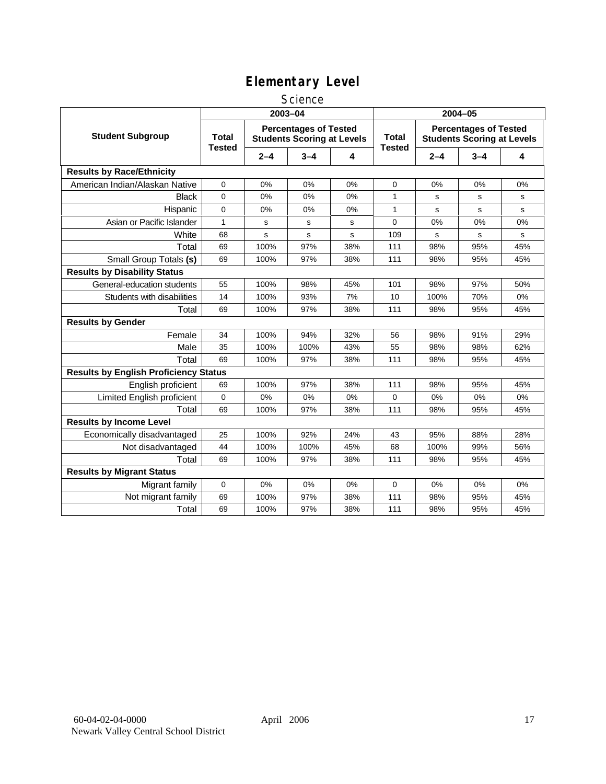#### **Science**

|                                              | 2003-04                       |         |                                                                   |             | 2004-05                       |         |                                                                   |     |
|----------------------------------------------|-------------------------------|---------|-------------------------------------------------------------------|-------------|-------------------------------|---------|-------------------------------------------------------------------|-----|
| <b>Student Subgroup</b>                      | <b>Total</b><br><b>Tested</b> |         | <b>Percentages of Tested</b><br><b>Students Scoring at Levels</b> |             | <b>Total</b><br><b>Tested</b> |         | <b>Percentages of Tested</b><br><b>Students Scoring at Levels</b> |     |
|                                              |                               | $2 - 4$ | $3 - 4$                                                           | 4           |                               | $2 - 4$ | $3 - 4$                                                           | 4   |
| <b>Results by Race/Ethnicity</b>             |                               |         |                                                                   |             |                               |         |                                                                   |     |
| American Indian/Alaskan Native               | 0                             | 0%      | 0%                                                                | 0%          | 0                             | 0%      | 0%                                                                | 0%  |
| <b>Black</b>                                 | $\Omega$                      | 0%      | 0%                                                                | 0%          | 1                             | S       | s                                                                 | s   |
| Hispanic                                     | 0                             | 0%      | 0%                                                                | 0%          | 1                             | s       | s                                                                 | s   |
| Asian or Pacific Islander                    | $\mathbf{1}$                  | s       | s                                                                 | $\mathbf s$ | $\mathbf 0$                   | 0%      | 0%                                                                | 0%  |
| White                                        | 68                            | s       | s                                                                 | s           | 109                           | s       | s                                                                 | s   |
| Total                                        | 69                            | 100%    | 97%                                                               | 38%         | 111                           | 98%     | 95%                                                               | 45% |
| Small Group Totals (s)                       | 69                            | 100%    | 97%                                                               | 38%         | 111                           | 98%     | 95%                                                               | 45% |
| <b>Results by Disability Status</b>          |                               |         |                                                                   |             |                               |         |                                                                   |     |
| General-education students                   | 55                            | 100%    | 98%                                                               | 45%         | 101                           | 98%     | 97%                                                               | 50% |
| Students with disabilities                   | 14                            | 100%    | 93%                                                               | 7%          | 10                            | 100%    | 70%                                                               | 0%  |
| Total                                        | 69                            | 100%    | 97%                                                               | 38%         | 111                           | 98%     | 95%                                                               | 45% |
| <b>Results by Gender</b>                     |                               |         |                                                                   |             |                               |         |                                                                   |     |
| Female                                       | 34                            | 100%    | 94%                                                               | 32%         | 56                            | 98%     | 91%                                                               | 29% |
| Male                                         | 35                            | 100%    | 100%                                                              | 43%         | 55                            | 98%     | 98%                                                               | 62% |
| Total                                        | 69                            | 100%    | 97%                                                               | 38%         | 111                           | 98%     | 95%                                                               | 45% |
| <b>Results by English Proficiency Status</b> |                               |         |                                                                   |             |                               |         |                                                                   |     |
| English proficient                           | 69                            | 100%    | 97%                                                               | 38%         | 111                           | 98%     | 95%                                                               | 45% |
| Limited English proficient                   | 0                             | 0%      | 0%                                                                | 0%          | 0                             | 0%      | 0%                                                                | 0%  |
| Total                                        | 69                            | 100%    | 97%                                                               | 38%         | 111                           | 98%     | 95%                                                               | 45% |
| <b>Results by Income Level</b>               |                               |         |                                                                   |             |                               |         |                                                                   |     |
| Economically disadvantaged                   | 25                            | 100%    | 92%                                                               | 24%         | 43                            | 95%     | 88%                                                               | 28% |
| Not disadvantaged                            | 44                            | 100%    | 100%                                                              | 45%         | 68                            | 100%    | 99%                                                               | 56% |
| Total                                        | 69                            | 100%    | 97%                                                               | 38%         | 111                           | 98%     | 95%                                                               | 45% |
| <b>Results by Migrant Status</b>             |                               |         |                                                                   |             |                               |         |                                                                   |     |
| Migrant family                               | 0                             | 0%      | 0%                                                                | 0%          | $\mathbf 0$                   | 0%      | 0%                                                                | 0%  |
| Not migrant family                           | 69                            | 100%    | 97%                                                               | 38%         | 111                           | 98%     | 95%                                                               | 45% |
| Total                                        | 69                            | 100%    | 97%                                                               | 38%         | 111                           | 98%     | 95%                                                               | 45% |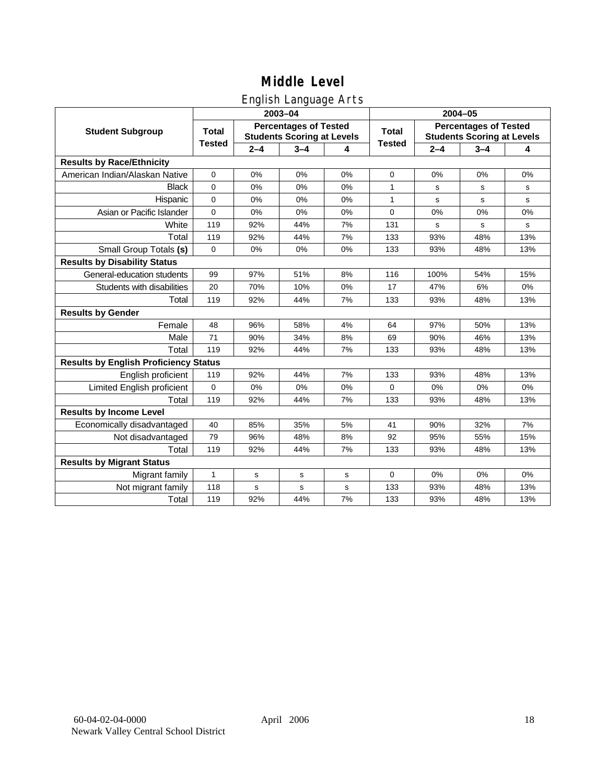## English Language Arts

|                                              |               |         | ັ<br>2003-04                                                      |    | 2004-05       |         |                                                                   |       |  |
|----------------------------------------------|---------------|---------|-------------------------------------------------------------------|----|---------------|---------|-------------------------------------------------------------------|-------|--|
| <b>Student Subgroup</b>                      | <b>Total</b>  |         | <b>Percentages of Tested</b><br><b>Students Scoring at Levels</b> |    | <b>Total</b>  |         | <b>Percentages of Tested</b><br><b>Students Scoring at Levels</b> |       |  |
|                                              | <b>Tested</b> | $2 - 4$ | $3 - 4$                                                           | 4  | <b>Tested</b> | $2 - 4$ | $3 - 4$                                                           | 4     |  |
| <b>Results by Race/Ethnicity</b>             |               |         |                                                                   |    |               |         |                                                                   |       |  |
| American Indian/Alaskan Native               | $\mathbf 0$   | 0%      | 0%                                                                | 0% | 0             | 0%      | 0%                                                                | 0%    |  |
| <b>Black</b>                                 | 0             | 0%      | 0%                                                                | 0% | 1             | s       | s                                                                 | s     |  |
| Hispanic                                     | $\Omega$      | 0%      | 0%                                                                | 0% | 1             | s       | s                                                                 | s     |  |
| Asian or Pacific Islander                    | $\mathbf 0$   | 0%      | 0%                                                                | 0% | $\mathbf 0$   | 0%      | 0%                                                                | 0%    |  |
| White                                        | 119           | 92%     | 44%                                                               | 7% | 131           | s       | $\mathbf s$                                                       | s     |  |
| Total                                        | 119           | 92%     | 44%                                                               | 7% | 133           | 93%     | 48%                                                               | 13%   |  |
| Small Group Totals (s)                       | $\Omega$      | 0%      | 0%                                                                | 0% | 133           | 93%     | 48%                                                               | 13%   |  |
| <b>Results by Disability Status</b>          |               |         |                                                                   |    |               |         |                                                                   |       |  |
| General-education students                   | 99            | 97%     | 51%                                                               | 8% | 116           | 100%    | 54%                                                               | 15%   |  |
| Students with disabilities                   | 20            | 70%     | 10%                                                               | 0% | 17            | 47%     | 6%                                                                | $0\%$ |  |
| Total                                        | 119           | 92%     | 44%                                                               | 7% | 133           | 93%     | 48%                                                               | 13%   |  |
| <b>Results by Gender</b>                     |               |         |                                                                   |    |               |         |                                                                   |       |  |
| Female                                       | 48            | 96%     | 58%                                                               | 4% | 64            | 97%     | 50%                                                               | 13%   |  |
| Male                                         | 71            | 90%     | 34%                                                               | 8% | 69            | 90%     | 46%                                                               | 13%   |  |
| Total                                        | 119           | 92%     | 44%                                                               | 7% | 133           | 93%     | 48%                                                               | 13%   |  |
| <b>Results by English Proficiency Status</b> |               |         |                                                                   |    |               |         |                                                                   |       |  |
| English proficient                           | 119           | 92%     | 44%                                                               | 7% | 133           | 93%     | 48%                                                               | 13%   |  |
| Limited English proficient                   | 0             | 0%      | 0%                                                                | 0% | 0             | 0%      | 0%                                                                | 0%    |  |
| Total                                        | 119           | 92%     | 44%                                                               | 7% | 133           | 93%     | 48%                                                               | 13%   |  |
| <b>Results by Income Level</b>               |               |         |                                                                   |    |               |         |                                                                   |       |  |
| Economically disadvantaged                   | 40            | 85%     | 35%                                                               | 5% | 41            | 90%     | 32%                                                               | 7%    |  |
| Not disadvantaged                            | 79            | 96%     | 48%                                                               | 8% | 92            | 95%     | 55%                                                               | 15%   |  |
| Total                                        | 119           | 92%     | 44%                                                               | 7% | 133           | 93%     | 48%                                                               | 13%   |  |
| <b>Results by Migrant Status</b>             |               |         |                                                                   |    |               |         |                                                                   |       |  |
| Migrant family                               | 1             | s       | s                                                                 | s  | 0             | 0%      | 0%                                                                | 0%    |  |
| Not migrant family                           | 118           | s       | s                                                                 | s  | 133           | 93%     | 48%                                                               | 13%   |  |
| Total                                        | 119           | 92%     | 44%                                                               | 7% | 133           | 93%     | 48%                                                               | 13%   |  |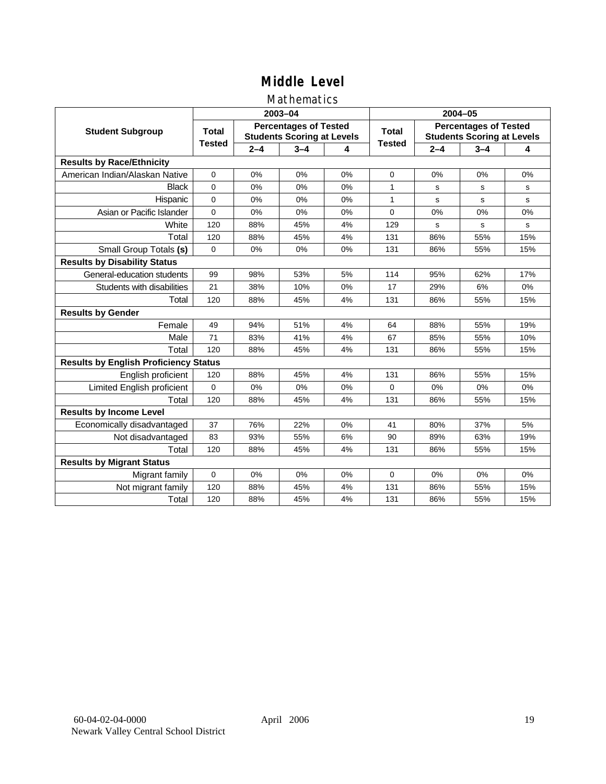### Mathematics

|                                              |               |         | 2003-04                                                           |    | 2004-05       |             |                                                                   |             |
|----------------------------------------------|---------------|---------|-------------------------------------------------------------------|----|---------------|-------------|-------------------------------------------------------------------|-------------|
| <b>Student Subgroup</b>                      | <b>Total</b>  |         | <b>Percentages of Tested</b><br><b>Students Scoring at Levels</b> |    | <b>Total</b>  |             | <b>Percentages of Tested</b><br><b>Students Scoring at Levels</b> |             |
|                                              | <b>Tested</b> | $2 - 4$ | $3 - 4$                                                           | 4  | <b>Tested</b> | $2 - 4$     | $3 - 4$                                                           | 4           |
| <b>Results by Race/Ethnicity</b>             |               |         |                                                                   |    |               |             |                                                                   |             |
| American Indian/Alaskan Native               | $\mathbf{0}$  | 0%      | 0%                                                                | 0% | $\Omega$      | 0%          | 0%                                                                | 0%          |
| <b>Black</b>                                 | $\Omega$      | 0%      | 0%                                                                | 0% | 1             | s           | s                                                                 | s           |
| Hispanic                                     | $\Omega$      | 0%      | 0%                                                                | 0% | 1             | s           | s                                                                 | s           |
| Asian or Pacific Islander                    | $\mathbf 0$   | 0%      | 0%                                                                | 0% | 0             | 0%          | 0%                                                                | 0%          |
| White                                        | 120           | 88%     | 45%                                                               | 4% | 129           | $\mathbf s$ | $\mathbf s$                                                       | $\mathbf s$ |
| Total                                        | 120           | 88%     | 45%                                                               | 4% | 131           | 86%         | 55%                                                               | 15%         |
| Small Group Totals (s)                       | $\mathbf 0$   | 0%      | 0%                                                                | 0% | 131           | 86%         | 55%                                                               | 15%         |
| <b>Results by Disability Status</b>          |               |         |                                                                   |    |               |             |                                                                   |             |
| General-education students                   | 99            | 98%     | 53%                                                               | 5% | 114           | 95%         | 62%                                                               | 17%         |
| Students with disabilities                   | 21            | 38%     | 10%                                                               | 0% | 17            | 29%         | 6%                                                                | 0%          |
| Total                                        | 120           | 88%     | 45%                                                               | 4% | 131           | 86%         | 55%                                                               | 15%         |
| <b>Results by Gender</b>                     |               |         |                                                                   |    |               |             |                                                                   |             |
| Female                                       | 49            | 94%     | 51%                                                               | 4% | 64            | 88%         | 55%                                                               | 19%         |
| Male                                         | 71            | 83%     | 41%                                                               | 4% | 67            | 85%         | 55%                                                               | 10%         |
| Total                                        | 120           | 88%     | 45%                                                               | 4% | 131           | 86%         | 55%                                                               | 15%         |
| <b>Results by English Proficiency Status</b> |               |         |                                                                   |    |               |             |                                                                   |             |
| English proficient                           | 120           | 88%     | 45%                                                               | 4% | 131           | 86%         | 55%                                                               | 15%         |
| Limited English proficient                   | 0             | 0%      | 0%                                                                | 0% | $\Omega$      | 0%          | 0%                                                                | 0%          |
| Total                                        | 120           | 88%     | 45%                                                               | 4% | 131           | 86%         | 55%                                                               | 15%         |
| <b>Results by Income Level</b>               |               |         |                                                                   |    |               |             |                                                                   |             |
| Economically disadvantaged                   | 37            | 76%     | 22%                                                               | 0% | 41            | 80%         | 37%                                                               | 5%          |
| Not disadvantaged                            | 83            | 93%     | 55%                                                               | 6% | 90            | 89%         | 63%                                                               | 19%         |
| Total                                        | 120           | 88%     | 45%                                                               | 4% | 131           | 86%         | 55%                                                               | 15%         |
| <b>Results by Migrant Status</b>             |               |         |                                                                   |    |               |             |                                                                   |             |
| Migrant family                               | 0             | 0%      | 0%                                                                | 0% | $\Omega$      | 0%          | 0%                                                                | 0%          |
| Not migrant family                           | 120           | 88%     | 45%                                                               | 4% | 131           | 86%         | 55%                                                               | 15%         |
| Total                                        | 120           | 88%     | 45%                                                               | 4% | 131           | 86%         | 55%                                                               | 15%         |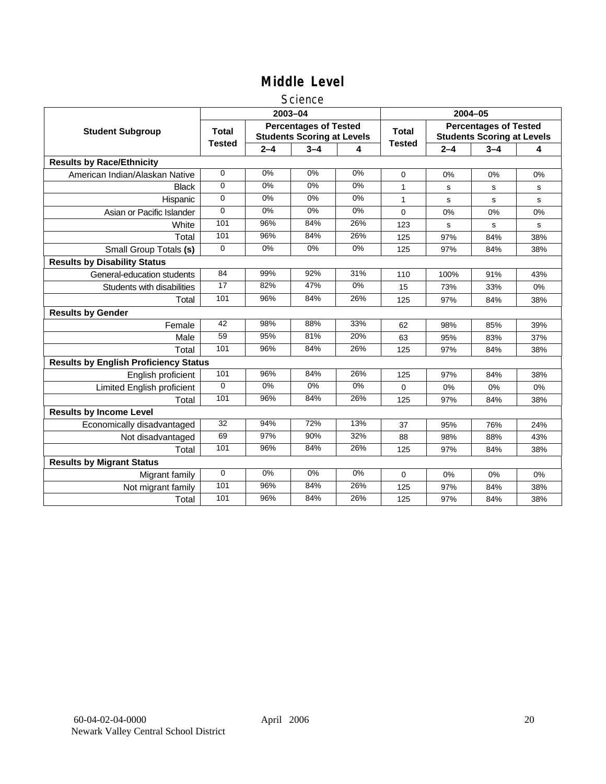#### **Science**

|                                              |               |         | 2003-04                                                           |       | 2004-05       |             |                                                                   |     |  |
|----------------------------------------------|---------------|---------|-------------------------------------------------------------------|-------|---------------|-------------|-------------------------------------------------------------------|-----|--|
| <b>Student Subgroup</b>                      | <b>Total</b>  |         | <b>Percentages of Tested</b><br><b>Students Scoring at Levels</b> |       | <b>Total</b>  |             | <b>Percentages of Tested</b><br><b>Students Scoring at Levels</b> |     |  |
|                                              | <b>Tested</b> | $2 - 4$ | $3 - 4$                                                           | 4     | <b>Tested</b> | $2 - 4$     | $3 - 4$                                                           | 4   |  |
| <b>Results by Race/Ethnicity</b>             |               |         |                                                                   |       |               |             |                                                                   |     |  |
| American Indian/Alaskan Native               | $\mathbf 0$   | 0%      | 0%                                                                | 0%    | $\Omega$      | 0%          | 0%                                                                | 0%  |  |
| <b>Black</b>                                 | 0             | 0%      | 0%                                                                | 0%    | 1             | s           | s                                                                 | s   |  |
| Hispanic                                     | 0             | 0%      | 0%                                                                | 0%    | 1             | s           | s                                                                 | s   |  |
| Asian or Pacific Islander                    | $\Omega$      | 0%      | 0%                                                                | $0\%$ | 0             | 0%          | 0%                                                                | 0%  |  |
| White                                        | 101           | 96%     | 84%                                                               | 26%   | 123           | $\mathbf s$ | s                                                                 | s   |  |
| Total                                        | 101           | 96%     | 84%                                                               | 26%   | 125           | 97%         | 84%                                                               | 38% |  |
| Small Group Totals (s)                       | $\mathbf 0$   | 0%      | 0%                                                                | 0%    | 125           | 97%         | 84%                                                               | 38% |  |
| <b>Results by Disability Status</b>          |               |         |                                                                   |       |               |             |                                                                   |     |  |
| General-education students                   | 84            | 99%     | 92%                                                               | 31%   | 110           | 100%        | 91%                                                               | 43% |  |
| Students with disabilities                   | 17            | 82%     | 47%                                                               | $0\%$ | 15            | 73%         | 33%                                                               | 0%  |  |
| Total                                        | 101           | 96%     | 84%                                                               | 26%   | 125           | 97%         | 84%                                                               | 38% |  |
| <b>Results by Gender</b>                     |               |         |                                                                   |       |               |             |                                                                   |     |  |
| Female                                       | 42            | 98%     | 88%                                                               | 33%   | 62            | 98%         | 85%                                                               | 39% |  |
| Male                                         | 59            | 95%     | 81%                                                               | 20%   | 63            | 95%         | 83%                                                               | 37% |  |
| Total                                        | 101           | 96%     | 84%                                                               | 26%   | 125           | 97%         | 84%                                                               | 38% |  |
| <b>Results by English Proficiency Status</b> |               |         |                                                                   |       |               |             |                                                                   |     |  |
| English proficient                           | 101           | 96%     | 84%                                                               | 26%   | 125           | 97%         | 84%                                                               | 38% |  |
| Limited English proficient                   | $\Omega$      | $0\%$   | 0%                                                                | $0\%$ | 0             | 0%          | 0%                                                                | 0%  |  |
| Total                                        | 101           | 96%     | 84%                                                               | 26%   | 125           | 97%         | 84%                                                               | 38% |  |
| <b>Results by Income Level</b>               |               |         |                                                                   |       |               |             |                                                                   |     |  |
| Economically disadvantaged                   | 32            | 94%     | 72%                                                               | 13%   | 37            | 95%         | 76%                                                               | 24% |  |
| Not disadvantaged                            | 69            | 97%     | 90%                                                               | 32%   | 88            | 98%         | 88%                                                               | 43% |  |
| Total                                        | 101           | 96%     | 84%                                                               | 26%   | 125           | 97%         | 84%                                                               | 38% |  |
| <b>Results by Migrant Status</b>             |               |         |                                                                   |       |               |             |                                                                   |     |  |
| Migrant family                               | $\mathbf 0$   | 0%      | 0%                                                                | 0%    | 0             | 0%          | 0%                                                                | 0%  |  |
| Not migrant family                           | 101           | 96%     | 84%                                                               | 26%   | 125           | 97%         | 84%                                                               | 38% |  |
| Total                                        | 101           | 96%     | 84%                                                               | 26%   | 125           | 97%         | 84%                                                               | 38% |  |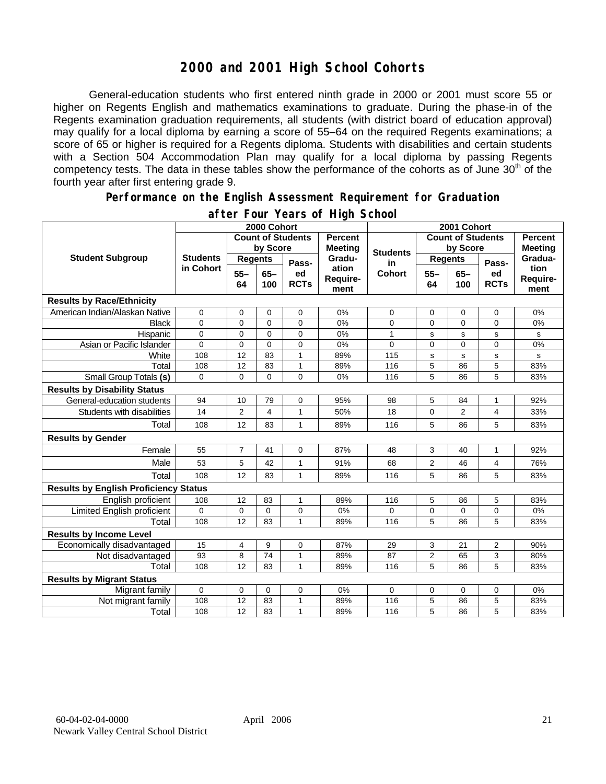## **2000 and 2001 High School Cohorts**

General-education students who first entered ninth grade in 2000 or 2001 must score 55 or higher on Regents English and mathematics examinations to graduate. During the phase-in of the Regents examination graduation requirements, all students (with district board of education approval) may qualify for a local diploma by earning a score of 55–64 on the required Regents examinations; a score of 65 or higher is required for a Regents diploma. Students with disabilities and certain students with a Section 504 Accommodation Plan may qualify for a local diploma by passing Regents competency tests. The data in these tables show the performance of the cohorts as of June 30<sup>th</sup> of the fourth year after first entering grade 9.

#### **Performance on the English Assessment Requirement for Graduation**

|                                              | 2000 Cohort                  |                          |               |                   |                                  | 2001 Cohort     |                          |                |                   |                                  |
|----------------------------------------------|------------------------------|--------------------------|---------------|-------------------|----------------------------------|-----------------|--------------------------|----------------|-------------------|----------------------------------|
| <b>Student Subgroup</b>                      |                              | <b>Count of Students</b> |               |                   | <b>Percent</b><br><b>Meeting</b> |                 | <b>Count of Students</b> |                |                   | <b>Percent</b><br><b>Meeting</b> |
|                                              | <b>Students</b><br>in Cohort | by Score                 |               |                   |                                  | <b>Students</b> | by Score                 |                |                   |                                  |
|                                              |                              | <b>Regents</b>           |               | Pass-             | Gradu-                           | in              | <b>Regents</b>           |                | Pass-             | Gradua-                          |
|                                              |                              | $55 -$<br>64             | $65 -$<br>100 | ed<br><b>RCTs</b> | ation<br>Require-<br>ment        | <b>Cohort</b>   | $55 -$<br>64             | $65-$<br>100   | ed<br><b>RCTs</b> | tion<br>Require-<br>ment         |
| <b>Results by Race/Ethnicity</b>             |                              |                          |               |                   |                                  |                 |                          |                |                   |                                  |
| American Indian/Alaskan Native               | $\mathbf 0$                  | 0                        | $\mathbf 0$   | 0                 | 0%                               | 0               | 0                        | $\mathbf 0$    | 0                 | 0%                               |
| <b>Black</b>                                 | 0                            | 0                        | $\mathbf 0$   | 0                 | 0%                               | 0               | $\mathbf 0$              | $\mathbf 0$    | 0                 | 0%                               |
| Hispanic                                     | 0                            | $\mathbf 0$              | $\mathbf 0$   | 0                 | 0%                               | $\mathbf{1}$    | s                        | s              | s                 | s                                |
| Asian or Pacific Islander                    | $\Omega$                     | $\mathbf 0$              | $\Omega$      | $\overline{0}$    | 0%                               | $\Omega$        | $\Omega$                 | $\Omega$       | $\overline{0}$    | 0%                               |
| White                                        | 108                          | 12                       | 83            | $\mathbf{1}$      | 89%                              | 115             | s                        | s              | s                 | s                                |
| Total                                        | 108                          | 12                       | 83            | $\mathbf{1}$      | 89%                              | 116             | 5                        | 86             | 5                 | 83%                              |
| Small Group Totals (s)                       | $\Omega$                     | $\mathbf{0}$             | $\mathbf{0}$  | $\Omega$          | 0%                               | 116             | 5                        | 86             | 5                 | 83%                              |
| <b>Results by Disability Status</b>          |                              |                          |               |                   |                                  |                 |                          |                |                   |                                  |
| General-education students                   | 94                           | 10                       | 79            | 0                 | 95%                              | 98              | 5                        | 84             | 1                 | 92%                              |
| Students with disabilities                   | 14                           | 2                        | 4             | $\mathbf{1}$      | 50%                              | 18              | 0                        | $\overline{2}$ | 4                 | 33%                              |
| Total                                        | 108                          | 12                       | 83            | $\mathbf{1}$      | 89%                              | 116             | 5                        | 86             | 5                 | 83%                              |
| <b>Results by Gender</b>                     |                              |                          |               |                   |                                  |                 |                          |                |                   |                                  |
| Female                                       | 55                           | $\overline{7}$           | 41            | 0                 | 87%                              | 48              | 3                        | 40             | $\mathbf{1}$      | 92%                              |
| Male                                         | 53                           | 5                        | 42            | 1                 | 91%                              | 68              | $\overline{2}$           | 46             | 4                 | 76%                              |
| Total                                        | 108                          | 12                       | 83            | $\mathbf{1}$      | 89%                              | 116             | 5                        | 86             | 5                 | 83%                              |
| <b>Results by English Proficiency Status</b> |                              |                          |               |                   |                                  |                 |                          |                |                   |                                  |
| English proficient                           | 108                          | 12                       | 83            | 1                 | 89%                              | 116             | 5                        | 86             | 5                 | 83%                              |
| Limited English proficient                   | 0                            | 0                        | $\mathbf 0$   | 0                 | 0%                               | 0               | 0                        | 0              | 0                 | 0%                               |
| Total                                        | 108                          | 12                       | 83            | $\mathbf{1}$      | 89%                              | 116             | 5                        | 86             | 5                 | 83%                              |
| <b>Results by Income Level</b>               |                              |                          |               |                   |                                  |                 |                          |                |                   |                                  |
| Economically disadvantaged                   | 15                           | 4                        | 9             | 0                 | 87%                              | 29              | 3                        | 21             | $\overline{2}$    | 90%                              |
| Not disadvantaged                            | 93                           | 8                        | 74            | $\mathbf{1}$      | 89%                              | 87              | $\overline{c}$           | 65             | 3                 | 80%                              |
| Total                                        | 108                          | 12                       | 83            | 1                 | 89%                              | 116             | 5                        | 86             | 5                 | 83%                              |
| <b>Results by Migrant Status</b>             |                              |                          |               |                   |                                  |                 |                          |                |                   |                                  |
| Migrant family                               | 0                            | 0                        | $\mathbf 0$   | 0                 | 0%                               | $\Omega$        | 0                        | $\mathbf 0$    | 0                 | 0%                               |
| Not migrant family                           | 108                          | 12                       | 83            | 1                 | 89%                              | 116             | 5                        | 86             | 5                 | 83%                              |
| Total                                        | 108                          | 12                       | 83            | $\mathbf{1}$      | 89%                              | 116             | 5                        | 86             | 5                 | 83%                              |

#### **after Four Years of High School**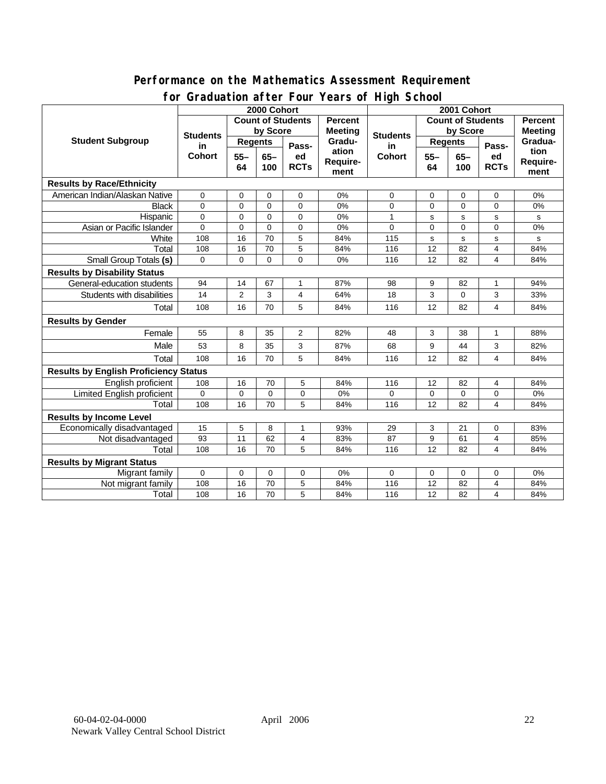#### **Performance on the Mathematics Assessment Requirement for Graduation after Four Years of High School**

|                                              | <u><b>Siddaction artor roar roars or right conco</b></u><br>2000 Cohort |                              |             |                            |                           | 2001 Cohort              |                |             |                |                |
|----------------------------------------------|-------------------------------------------------------------------------|------------------------------|-------------|----------------------------|---------------------------|--------------------------|----------------|-------------|----------------|----------------|
| <b>Student Subgroup</b>                      | <b>Count of Students</b>                                                |                              |             |                            | <b>Percent</b>            | <b>Count of Students</b> |                |             | <b>Percent</b> |                |
|                                              | <b>Students</b><br>in<br><b>Cohort</b>                                  | by Score                     |             |                            | <b>Meeting</b>            |                          | by Score       |             |                | <b>Meeting</b> |
|                                              |                                                                         | <b>Regents</b>               |             |                            | Gradu-                    | <b>Students</b><br>in    | <b>Regents</b> |             |                | Gradua-        |
|                                              |                                                                         | $55 -$<br>$65-$<br>64<br>100 |             | Pass-<br>ed<br><b>RCTs</b> | ation<br>Require-<br>ment | <b>Cohort</b>            | $55 -$         | $65-$       | Pass-<br>ed    | tion           |
|                                              |                                                                         |                              |             |                            |                           |                          | 64             | 100         | <b>RCTs</b>    | Require-       |
|                                              |                                                                         |                              |             |                            |                           |                          |                |             |                | ment           |
| <b>Results by Race/Ethnicity</b>             |                                                                         |                              |             |                            |                           |                          |                |             |                |                |
| American Indian/Alaskan Native               | $\mathbf 0$                                                             | 0                            | 0           | 0                          | 0%                        | 0                        | 0              | 0           | 0              | 0%             |
| <b>Black</b>                                 | $\Omega$                                                                | $\mathbf 0$                  | $\Omega$    | $\Omega$                   | 0%                        | $\overline{0}$           | $\mathbf 0$    | $\mathbf 0$ | 0              | 0%             |
| Hispanic                                     | 0                                                                       | $\mathbf 0$                  | $\mathbf 0$ | 0                          | 0%                        | 1                        | s              | s           | s              | s              |
| Asian or Pacific Islander                    | $\overline{0}$                                                          | $\mathbf 0$                  | $\mathbf 0$ | 0                          | 0%                        | 0                        | $\mathbf 0$    | $\mathbf 0$ | 0              | 0%             |
| White                                        | 108                                                                     | 16                           | 70          | 5                          | 84%                       | 115                      | s              | s           | s              | s              |
| Total                                        | 108                                                                     | 16                           | 70          | 5                          | 84%                       | 116                      | 12             | 82          | 4              | 84%            |
| <b>Small Group Totals (s)</b>                | $\Omega$                                                                | 0                            | $\Omega$    | $\Omega$                   | 0%                        | 116                      | 12             | 82          | 4              | 84%            |
| <b>Results by Disability Status</b>          |                                                                         |                              |             |                            |                           |                          |                |             |                |                |
| General-education students                   | 94                                                                      | 14                           | 67          | 1                          | 87%                       | 98                       | 9              | 82          | 1              | 94%            |
| Students with disabilities                   | 14                                                                      | $\overline{2}$               | 3           | 4                          | 64%                       | 18                       | 3              | $\mathbf 0$ | 3              | 33%            |
| Total                                        | 108                                                                     | 16                           | 70          | 5                          | 84%                       | 116                      | 12             | 82          | 4              | 84%            |
| <b>Results by Gender</b>                     |                                                                         |                              |             |                            |                           |                          |                |             |                |                |
| Female                                       | 55                                                                      | 8                            | 35          | $\overline{2}$             | 82%                       | 48                       | 3              | 38          | $\mathbf{1}$   | 88%            |
| Male                                         | 53                                                                      | 8                            | 35          | 3                          | 87%                       | 68                       | 9              | 44          | 3              | 82%            |
| Total                                        | 108                                                                     | 16                           | 70          | 5                          | 84%                       | 116                      | 12             | 82          | 4              | 84%            |
| <b>Results by English Proficiency Status</b> |                                                                         |                              |             |                            |                           |                          |                |             |                |                |
| English proficient                           | 108                                                                     | 16                           | 70          | 5                          | 84%                       | 116                      | 12             | 82          | 4              | 84%            |
| Limited English proficient                   | 0                                                                       | $\mathbf 0$                  | 0           | 0                          | 0%                        | 0                        | $\mathbf 0$    | $\mathbf 0$ | 0              | 0%             |
| Total                                        | 108                                                                     | 16                           | 70          | 5                          | 84%                       | 116                      | 12             | 82          | 4              | 84%            |
| <b>Results by Income Level</b>               |                                                                         |                              |             |                            |                           |                          |                |             |                |                |
| Economically disadvantaged                   | 15                                                                      | 5                            | 8           | 1                          | 93%                       | 29                       | 3              | 21          | 0              | 83%            |
| Not disadvantaged                            | 93                                                                      | $\overline{11}$              | 62          | 4                          | 83%                       | 87                       | 9              | 61          | 4              | 85%            |
| Total                                        | 108                                                                     | 16                           | 70          | 5                          | 84%                       | 116                      | 12             | 82          | 4              | 84%            |
| <b>Results by Migrant Status</b>             |                                                                         |                              |             |                            |                           |                          |                |             |                |                |
| Migrant family                               | 0                                                                       | 0                            | 0           | 0                          | 0%                        | 0                        | 0              | 0           | 0              | 0%             |
| Not migrant family                           | 108                                                                     | 16                           | 70          | 5                          | 84%                       | 116                      | 12             | 82          | 4              | 84%            |
| Total                                        | 108                                                                     | 16                           | 70          | 5                          | 84%                       | 116                      | 12             | 82          | 4              | 84%            |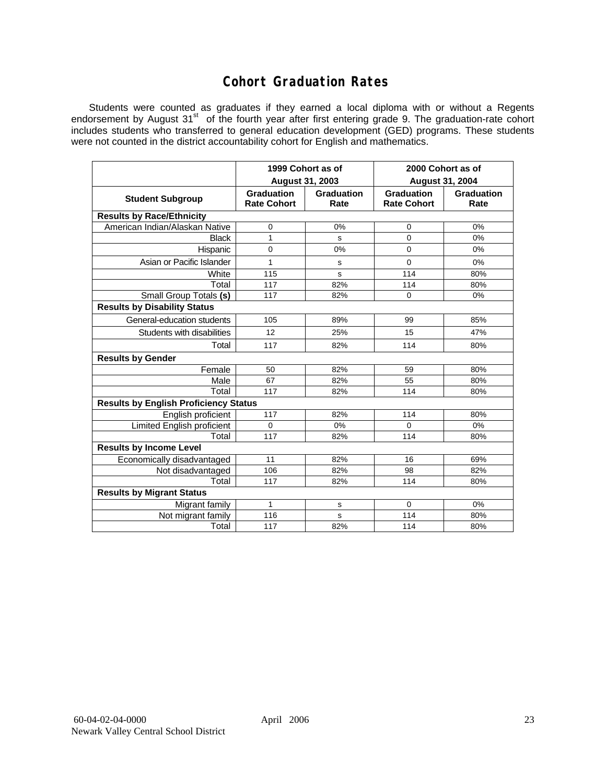## **Cohort Graduation Rates**

Students were counted as graduates if they earned a local diploma with or without a Regents endorsement by August 31<sup>st</sup> of the fourth year after first entering grade 9. The graduation-rate cohort includes students who transferred to general education development (GED) programs. These students were not counted in the district accountability cohort for English and mathematics.

|                                              | 1999 Cohort as of<br>August 31, 2003    |                    | 2000 Cohort as of<br><b>August 31, 2004</b> |                    |  |  |  |  |  |
|----------------------------------------------|-----------------------------------------|--------------------|---------------------------------------------|--------------------|--|--|--|--|--|
| <b>Student Subgroup</b>                      | <b>Graduation</b><br><b>Rate Cohort</b> | Graduation<br>Rate | <b>Graduation</b><br><b>Rate Cohort</b>     | Graduation<br>Rate |  |  |  |  |  |
| <b>Results by Race/Ethnicity</b>             |                                         |                    |                                             |                    |  |  |  |  |  |
| American Indian/Alaskan Native               | 0                                       | 0%                 | 0                                           | 0%                 |  |  |  |  |  |
| <b>Black</b>                                 | 1                                       | s                  | $\Omega$                                    | 0%                 |  |  |  |  |  |
| Hispanic                                     | 0                                       | 0%                 | 0                                           | 0%                 |  |  |  |  |  |
| Asian or Pacific Islander                    | 1                                       | s                  | $\Omega$                                    | 0%                 |  |  |  |  |  |
| White                                        | 115                                     | s                  | 114                                         | 80%                |  |  |  |  |  |
| Total                                        | 117                                     | 82%                | 114                                         | 80%                |  |  |  |  |  |
| Small Group Totals (s)                       | 117                                     | 82%                | 0                                           | 0%                 |  |  |  |  |  |
| <b>Results by Disability Status</b>          |                                         |                    |                                             |                    |  |  |  |  |  |
| General-education students                   | 105                                     | 89%                | 99                                          | 85%                |  |  |  |  |  |
| Students with disabilities                   | 12                                      | 25%                | 15                                          | 47%                |  |  |  |  |  |
| Total                                        | 117                                     | 82%                | 114                                         | 80%                |  |  |  |  |  |
| <b>Results by Gender</b>                     |                                         |                    |                                             |                    |  |  |  |  |  |
| Female                                       | 50                                      | 82%                | 59                                          | 80%                |  |  |  |  |  |
| Male                                         | 67                                      | 82%                | 55                                          | 80%                |  |  |  |  |  |
| Total                                        | 117                                     | 82%                | 114                                         | 80%                |  |  |  |  |  |
| <b>Results by English Proficiency Status</b> |                                         |                    |                                             |                    |  |  |  |  |  |
| English proficient                           | 117                                     | 82%                | 114                                         | 80%                |  |  |  |  |  |
| Limited English proficient                   | $\Omega$                                | 0%                 | $\Omega$                                    | 0%                 |  |  |  |  |  |
| Total                                        | 117                                     | 82%                | 114                                         | 80%                |  |  |  |  |  |
| <b>Results by Income Level</b>               |                                         |                    |                                             |                    |  |  |  |  |  |
| Economically disadvantaged                   | 11                                      | 82%                | 16                                          | 69%                |  |  |  |  |  |
| Not disadvantaged                            | 106                                     | 82%                | 98                                          | 82%                |  |  |  |  |  |
| Total                                        | 117                                     | 82%                | 114                                         | 80%                |  |  |  |  |  |
| <b>Results by Migrant Status</b>             |                                         |                    |                                             |                    |  |  |  |  |  |
| Migrant family                               | 1                                       | s                  | $\mathbf 0$                                 | 0%                 |  |  |  |  |  |
| Not migrant family                           | 116                                     | s                  | 114                                         | 80%                |  |  |  |  |  |
| Total                                        | 117                                     | 82%                | 114                                         | 80%                |  |  |  |  |  |